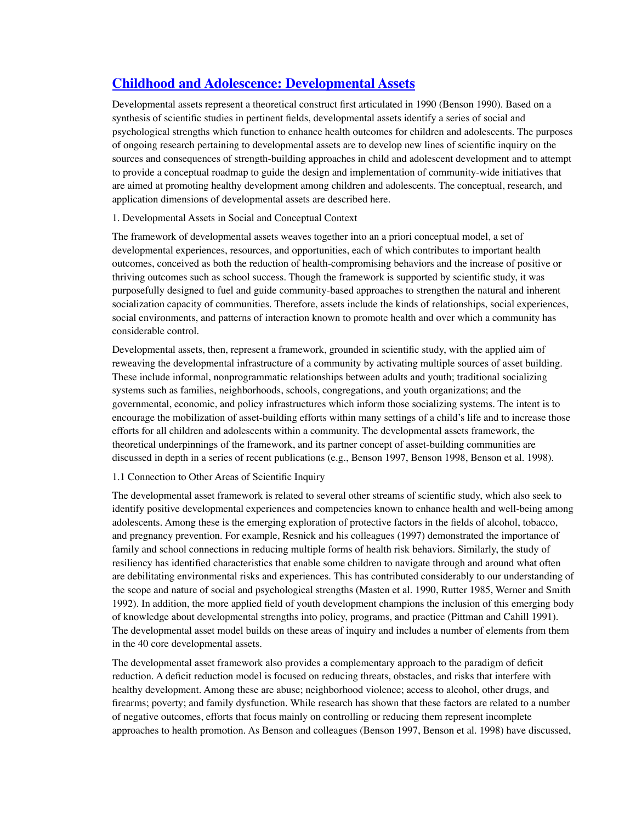# **[Childhood and Adolescence: Developmental Assets](http://pagerankstudio.com/Blog/2010/10/childhood-and-adolescence-developmental-assets/)**

Developmental assets represent a theoretical construct first articulated in 1990 (Benson 1990). Based on a synthesis of scientific studies in pertinent fields, developmental assets identify a series of social and psychological strengths which function to enhance health outcomes for children and adolescents. The purposes of ongoing research pertaining to developmental assets are to develop new lines of scientific inquiry on the sources and consequences of strength-building approaches in child and adolescent development and to attempt to provide a conceptual roadmap to guide the design and implementation of community-wide initiatives that are aimed at promoting healthy development among children and adolescents. The conceptual, research, and application dimensions of developmental assets are described here.

# 1. Developmental Assets in Social and Conceptual Context

The framework of developmental assets weaves together into an a priori conceptual model, a set of developmental experiences, resources, and opportunities, each of which contributes to important health outcomes, conceived as both the reduction of health-compromising behaviors and the increase of positive or thriving outcomes such as school success. Though the framework is supported by scientific study, it was purposefully designed to fuel and guide community-based approaches to strengthen the natural and inherent socialization capacity of communities. Therefore, assets include the kinds of relationships, social experiences, social environments, and patterns of interaction known to promote health and over which a community has considerable control.

Developmental assets, then, represent a framework, grounded in scientific study, with the applied aim of reweaving the developmental infrastructure of a community by activating multiple sources of asset building. These include informal, nonprogrammatic relationships between adults and youth; traditional socializing systems such as families, neighborhoods, schools, congregations, and youth organizations; and the governmental, economic, and policy infrastructures which inform those socializing systems. The intent is to encourage the mobilization of asset-building efforts within many settings of a child's life and to increase those efforts for all children and adolescents within a community. The developmental assets framework, the theoretical underpinnings of the framework, and its partner concept of asset-building communities are discussed in depth in a series of recent publications (e.g., Benson 1997, Benson 1998, Benson et al. 1998).

## 1.1 Connection to Other Areas of Scientific Inquiry

The developmental asset framework is related to several other streams of scientific study, which also seek to identify positive developmental experiences and competencies known to enhance health and well-being among adolescents. Among these is the emerging exploration of protective factors in the fields of alcohol, tobacco, and pregnancy prevention. For example, Resnick and his colleagues (1997) demonstrated the importance of family and school connections in reducing multiple forms of health risk behaviors. Similarly, the study of resiliency has identified characteristics that enable some children to navigate through and around what often are debilitating environmental risks and experiences. This has contributed considerably to our understanding of the scope and nature of social and psychological strengths (Masten et al. 1990, Rutter 1985, Werner and Smith 1992). In addition, the more applied field of youth development champions the inclusion of this emerging body of knowledge about developmental strengths into policy, programs, and practice (Pittman and Cahill 1991). The developmental asset model builds on these areas of inquiry and includes a number of elements from them in the 40 core developmental assets.

The developmental asset framework also provides a complementary approach to the paradigm of deficit reduction. A deficit reduction model is focused on reducing threats, obstacles, and risks that interfere with healthy development. Among these are abuse; neighborhood violence; access to alcohol, other drugs, and firearms; poverty; and family dysfunction. While research has shown that these factors are related to a number of negative outcomes, efforts that focus mainly on controlling or reducing them represent incomplete approaches to health promotion. As Benson and colleagues (Benson 1997, Benson et al. 1998) have discussed,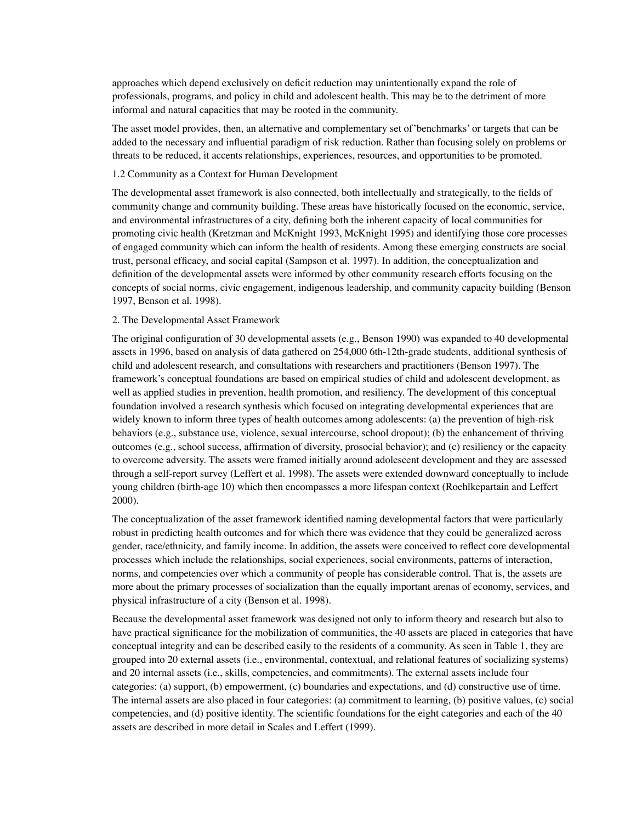approaches which depend exclusively on deficit reduction may unintentionally expand the role of professionals, programs, and policy in child and adolescent health. This may be to the detriment of more informal and natural capacities that may be rooted in the community.

The asset model provides, then, an alternative and complementary set of'benchmarks' or targets that can be added to the necessary and influential paradigm of risk reduction. Rather than focusing solely on problems or threats to be reduced, it accents relationships, experiences, resources, and opportunities to be promoted.

## 1.2 Community as a Context for Human Development

The developmental asset framework is also connected, both intellectually and strategically, to the fields of community change and community building. These areas have historically focused on the economic, service, and environmental infrastructures of a city, defining both the inherent capacity of local communities for promoting civic health (Kretzman and McKnight 1993, McKnight 1995) and identifying those core processes of engaged community which can inform the health of residents. Among these emerging constructs are social trust, personal efficacy, and social capital (Sampson et al. 1997). In addition, the conceptualization and definition of the developmental assets were informed by other community research efforts focusing on the concepts of social norms, civic engagement, indigenous leadership, and community capacity building (Benson 1997, Benson et al. 1998).

### 2. The Developmental Asset Framework

The original configuration of 30 developmental assets (e.g., Benson 1990) was expanded to 40 developmental assets in 1996, based on analysis of data gathered on 254,000 6th-12th-grade students, additional synthesis of child and adolescent research, and consultations with researchers and practitioners (Benson 1997). The framework's conceptual foundations are based on empirical studies of child and adolescent development, as well as applied studies in prevention, health promotion, and resiliency. The development of this conceptual foundation involved a research synthesis which focused on integrating developmental experiences that are widely known to inform three types of health outcomes among adolescents: (a) the prevention of high-risk behaviors (e.g., substance use, violence, sexual intercourse, school dropout); (b) the enhancement of thriving outcomes (e.g., school success, affirmation of diversity, prosocial behavior); and (c) resiliency or the capacity to overcome adversity. The assets were framed initially around adolescent development and they are assessed through a self-report survey (Leffert et al. 1998). The assets were extended downward conceptually to include young children (birth-age 10) which then encompasses a more lifespan context (Roehlkepartain and Leffert 2000).

The conceptualization of the asset framework identified naming developmental factors that were particularly robust in predicting health outcomes and for which there was evidence that they could be generalized across gender, race/ethnicity, and family income. In addition, the assets were conceived to reflect core developmental processes which include the relationships, social experiences, social environments, patterns of interaction, norms, and competencies over which a community of people has considerable control. That is, the assets are more about the primary processes of socialization than the equally important arenas of economy, services, and physical infrastructure of a city (Benson et al. 1998).

Because the developmental asset framework was designed not only to inform theory and research but also to have practical significance for the mobilization of communities, the 40 assets are placed in categories that have conceptual integrity and can be described easily to the residents of a community. As seen in Table 1, they are grouped into 20 external assets (i.e., environmental, contextual, and relational features of socializing systems) and 20 internal assets (i.e., skills, competencies, and commitments). The external assets include four categories: (a) support, (b) empowerment, (c) boundaries and expectations, and (d) constructive use of time. The internal assets are also placed in four categories: (a) commitment to learning, (b) positive values, (c) social competencies, and (d) positive identity. The scientific foundations for the eight categories and each of the 40 assets are described in more detail in Scales and Leffert (1999).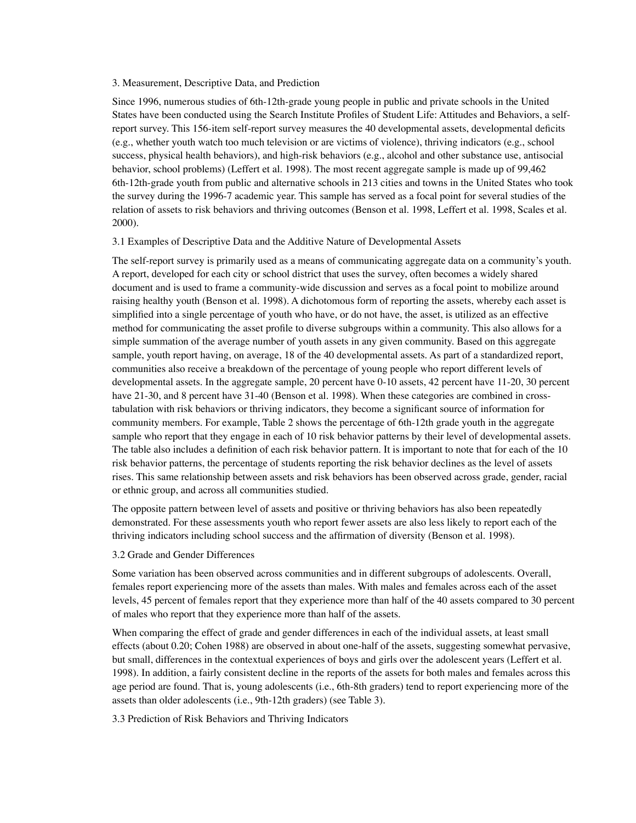## 3. Measurement, Descriptive Data, and Prediction

Since 1996, numerous studies of 6th-12th-grade young people in public and private schools in the United States have been conducted using the Search Institute Profiles of Student Life: Attitudes and Behaviors, a selfreport survey. This 156-item self-report survey measures the 40 developmental assets, developmental deficits (e.g., whether youth watch too much television or are victims of violence), thriving indicators (e.g., school success, physical health behaviors), and high-risk behaviors (e.g., alcohol and other substance use, antisocial behavior, school problems) (Leffert et al. 1998). The most recent aggregate sample is made up of 99,462 6th-12th-grade youth from public and alternative schools in 213 cities and towns in the United States who took the survey during the 1996-7 academic year. This sample has served as a focal point for several studies of the relation of assets to risk behaviors and thriving outcomes (Benson et al. 1998, Leffert et al. 1998, Scales et al. 2000).

#### 3.1 Examples of Descriptive Data and the Additive Nature of Developmental Assets

The self-report survey is primarily used as a means of communicating aggregate data on a community's youth. A report, developed for each city or school district that uses the survey, often becomes a widely shared document and is used to frame a community-wide discussion and serves as a focal point to mobilize around raising healthy youth (Benson et al. 1998). A dichotomous form of reporting the assets, whereby each asset is simplified into a single percentage of youth who have, or do not have, the asset, is utilized as an effective method for communicating the asset profile to diverse subgroups within a community. This also allows for a simple summation of the average number of youth assets in any given community. Based on this aggregate sample, youth report having, on average, 18 of the 40 developmental assets. As part of a standardized report, communities also receive a breakdown of the percentage of young people who report different levels of developmental assets. In the aggregate sample, 20 percent have 0-10 assets, 42 percent have 11-20, 30 percent have 21-30, and 8 percent have 31-40 (Benson et al. 1998). When these categories are combined in crosstabulation with risk behaviors or thriving indicators, they become a significant source of information for community members. For example, Table 2 shows the percentage of 6th-12th grade youth in the aggregate sample who report that they engage in each of 10 risk behavior patterns by their level of developmental assets. The table also includes a definition of each risk behavior pattern. It is important to note that for each of the 10 risk behavior patterns, the percentage of students reporting the risk behavior declines as the level of assets rises. This same relationship between assets and risk behaviors has been observed across grade, gender, racial or ethnic group, and across all communities studied.

The opposite pattern between level of assets and positive or thriving behaviors has also been repeatedly demonstrated. For these assessments youth who report fewer assets are also less likely to report each of the thriving indicators including school success and the affirmation of diversity (Benson et al. 1998).

# 3.2 Grade and Gender Differences

Some variation has been observed across communities and in different subgroups of adolescents. Overall, females report experiencing more of the assets than males. With males and females across each of the asset levels, 45 percent of females report that they experience more than half of the 40 assets compared to 30 percent of males who report that they experience more than half of the assets.

When comparing the effect of grade and gender differences in each of the individual assets, at least small effects (about 0.20; Cohen 1988) are observed in about one-half of the assets, suggesting somewhat pervasive, but small, differences in the contextual experiences of boys and girls over the adolescent years (Leffert et al. 1998). In addition, a fairly consistent decline in the reports of the assets for both males and females across this age period are found. That is, young adolescents (i.e., 6th-8th graders) tend to report experiencing more of the assets than older adolescents (i.e., 9th-12th graders) (see Table 3).

3.3 Prediction of Risk Behaviors and Thriving Indicators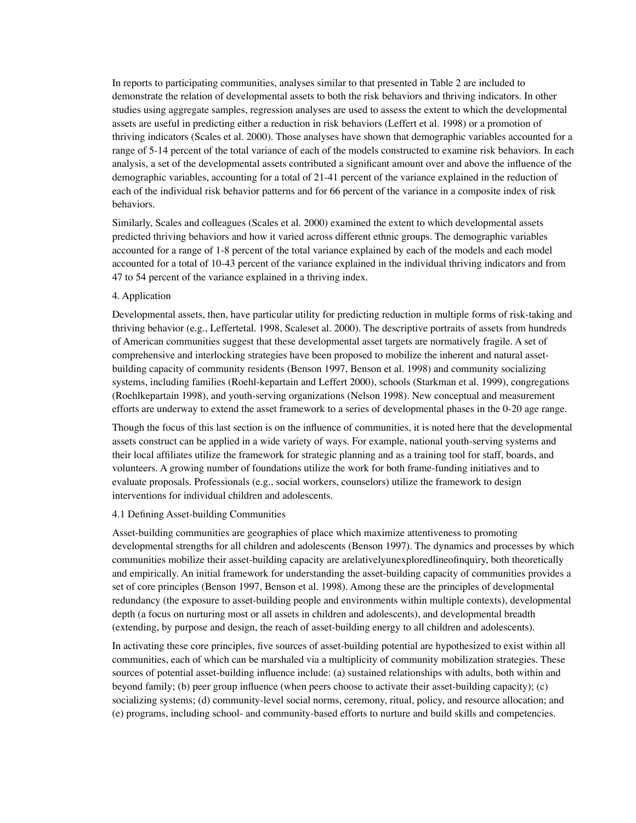In reports to participating communities, analyses similar to that presented in Table 2 are included to demonstrate the relation of developmental assets to both the risk behaviors and thriving indicators. In other studies using aggregate samples, regression analyses are used to assess the extent to which the developmental assets are useful in predicting either a reduction in risk behaviors (Leffert et al. 1998) or a promotion of thriving indicators (Scales et al. 2000). Those analyses have shown that demographic variables accounted for a range of 5-14 percent of the total variance of each of the models constructed to examine risk behaviors. In each analysis, a set of the developmental assets contributed a significant amount over and above the influence of the demographic variables, accounting for a total of 21-41 percent of the variance explained in the reduction of each of the individual risk behavior patterns and for 66 percent of the variance in a composite index of risk behaviors.

Similarly, Scales and colleagues (Scales et al. 2000) examined the extent to which developmental assets predicted thriving behaviors and how it varied across different ethnic groups. The demographic variables accounted for a range of 1-8 percent of the total variance explained by each of the models and each model accounted for a total of 10-43 percent of the variance explained in the individual thriving indicators and from 47 to 54 percent of the variance explained in a thriving index.

## 4. Application

Developmental assets, then, have particular utility for predicting reduction in multiple forms of risk-taking and thriving behavior (e.g., Leffertetal. 1998, Scaleset al. 2000). The descriptive portraits of assets from hundreds of American communities suggest that these developmental asset targets are normatively fragile. A set of comprehensive and interlocking strategies have been proposed to mobilize the inherent and natural assetbuilding capacity of community residents (Benson 1997, Benson et al. 1998) and community socializing systems, including families (Roehl-kepartain and Leffert 2000), schools (Starkman et al. 1999), congregations (Roehlkepartain 1998), and youth-serving organizations (Nelson 1998). New conceptual and measurement efforts are underway to extend the asset framework to a series of developmental phases in the 0-20 age range.

Though the focus of this last section is on the influence of communities, it is noted here that the developmental assets construct can be applied in a wide variety of ways. For example, national youth-serving systems and their local affiliates utilize the framework for strategic planning and as a training tool for staff, boards, and volunteers. A growing number of foundations utilize the work for both frame-funding initiatives and to evaluate proposals. Professionals (e.g., social workers, counselors) utilize the framework to design interventions for individual children and adolescents.

# 4.1 Defining Asset-building Communities

Asset-building communities are geographies of place which maximize attentiveness to promoting developmental strengths for all children and adolescents (Benson 1997). The dynamics and processes by which communities mobilize their asset-building capacity are arelativelyunexploredlineofinquiry, both theoretically and empirically. An initial framework for understanding the asset-building capacity of communities provides a set of core principles (Benson 1997, Benson et al. 1998). Among these are the principles of developmental redundancy (the exposure to asset-building people and environments within multiple contexts), developmental depth (a focus on nurturing most or all assets in children and adolescents), and developmental breadth (extending, by purpose and design, the reach of asset-building energy to all children and adolescents).

In activating these core principles, five sources of asset-building potential are hypothesized to exist within all communities, each of which can be marshaled via a multiplicity of community mobilization strategies. These sources of potential asset-building influence include: (a) sustained relationships with adults, both within and beyond family; (b) peer group influence (when peers choose to activate their asset-building capacity); (c) socializing systems; (d) community-level social norms, ceremony, ritual, policy, and resource allocation; and (e) programs, including school- and community-based efforts to nurture and build skills and competencies.